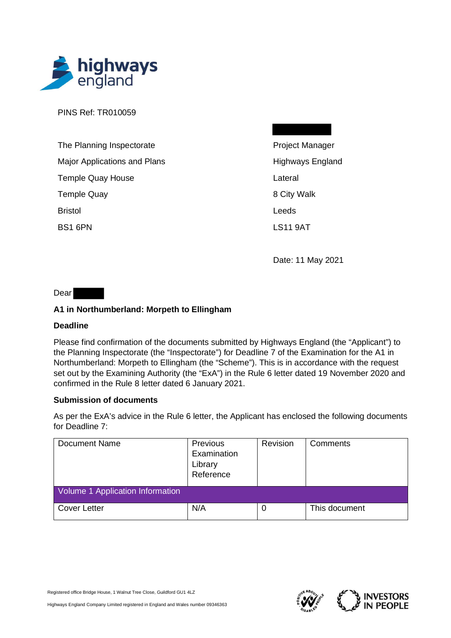

PINS Ref: TR010059

| The Planning Inspectorate           |
|-------------------------------------|
| <b>Major Applications and Plans</b> |
| <b>Temple Quay House</b>            |
| <b>Temple Quay</b>                  |
| <b>Bristol</b>                      |
| BS1 6PN                             |

Project Manager Highways England Lateral 8 City Walk Leeds LS11 9AT

Date: 11 May 2021

Dear

## **A1 in Northumberland: Morpeth to Ellingham**

## **Deadline**

Please find confirmation of the documents submitted by Highways England (the "Applicant") to the Planning Inspectorate (the "Inspectorate") for Deadline 7 of the Examination for the A1 in Northumberland: Morpeth to Ellingham (the "Scheme"). This is in accordance with the request set out by the Examining Authority (the "ExA") in the Rule 6 letter dated 19 November 2020 and confirmed in the Rule 8 letter dated 6 January 2021.

## **Submission of documents**

As per the ExA's advice in the Rule 6 letter, the Applicant has enclosed the following documents for Deadline 7:

| <b>Document Name</b>             | Previous<br>Examination<br>Library<br>Reference | Revision | Comments      |
|----------------------------------|-------------------------------------------------|----------|---------------|
| Volume 1 Application Information |                                                 |          |               |
| <b>Cover Letter</b>              | N/A                                             | 0        | This document |

Registered office Bridge House, 1 Walnut Tree Close, Guildford GU1 4LZ



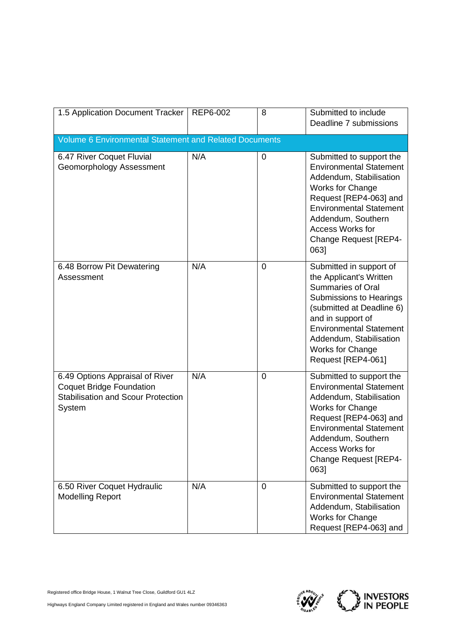| 1.5 Application Document Tracker                                                                                          | REP6-002 | 8              | Submitted to include<br>Deadline 7 submissions                                                                                                                                                                                                                     |  |  |
|---------------------------------------------------------------------------------------------------------------------------|----------|----------------|--------------------------------------------------------------------------------------------------------------------------------------------------------------------------------------------------------------------------------------------------------------------|--|--|
| <b>Volume 6 Environmental Statement and Related Documents</b>                                                             |          |                |                                                                                                                                                                                                                                                                    |  |  |
| 6.47 River Coquet Fluvial<br>Geomorphology Assessment                                                                     | N/A      | 0              | Submitted to support the<br><b>Environmental Statement</b><br>Addendum, Stabilisation<br>Works for Change<br>Request [REP4-063] and<br><b>Environmental Statement</b><br>Addendum, Southern<br><b>Access Works for</b><br><b>Change Request [REP4-</b><br>0631     |  |  |
| 6.48 Borrow Pit Dewatering<br>Assessment                                                                                  | N/A      | $\overline{0}$ | Submitted in support of<br>the Applicant's Written<br><b>Summaries of Oral</b><br>Submissions to Hearings<br>(submitted at Deadline 6)<br>and in support of<br><b>Environmental Statement</b><br>Addendum, Stabilisation<br>Works for Change<br>Request [REP4-061] |  |  |
| 6.49 Options Appraisal of River<br><b>Coquet Bridge Foundation</b><br><b>Stabilisation and Scour Protection</b><br>System | N/A      | $\overline{0}$ | Submitted to support the<br><b>Environmental Statement</b><br>Addendum, Stabilisation<br>Works for Change<br>Request [REP4-063] and<br><b>Environmental Statement</b><br>Addendum, Southern<br><b>Access Works for</b><br><b>Change Request [REP4-</b><br>0631     |  |  |
| 6.50 River Coquet Hydraulic<br><b>Modelling Report</b>                                                                    | N/A      | 0              | Submitted to support the<br><b>Environmental Statement</b><br>Addendum, Stabilisation<br>Works for Change<br>Request [REP4-063] and                                                                                                                                |  |  |



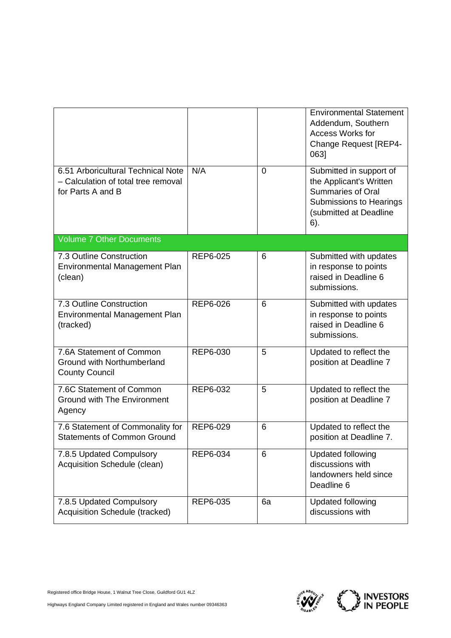|                                                                                                |          |    | <b>Environmental Statement</b><br>Addendum, Southern<br><b>Access Works for</b><br><b>Change Request [REP4-</b><br>0631                    |
|------------------------------------------------------------------------------------------------|----------|----|--------------------------------------------------------------------------------------------------------------------------------------------|
| 6.51 Arboricultural Technical Note<br>- Calculation of total tree removal<br>for Parts A and B | N/A      | 0  | Submitted in support of<br>the Applicant's Written<br><b>Summaries of Oral</b><br>Submissions to Hearings<br>(submitted at Deadline<br>6). |
| <b>Volume 7 Other Documents</b>                                                                |          |    |                                                                                                                                            |
| 7.3 Outline Construction<br>Environmental Management Plan<br>(clean)                           | REP6-025 | 6  | Submitted with updates<br>in response to points<br>raised in Deadline 6<br>submissions.                                                    |
| 7.3 Outline Construction<br>Environmental Management Plan<br>(tracked)                         | REP6-026 | 6  | Submitted with updates<br>in response to points<br>raised in Deadline 6<br>submissions.                                                    |
| 7.6A Statement of Common<br>Ground with Northumberland<br><b>County Council</b>                | REP6-030 | 5  | Updated to reflect the<br>position at Deadline 7                                                                                           |
| 7.6C Statement of Common<br><b>Ground with The Environment</b><br>Agency                       | REP6-032 | 5  | Updated to reflect the<br>position at Deadline 7                                                                                           |
| 7.6 Statement of Commonality for<br><b>Statements of Common Ground</b>                         | REP6-029 | 6  | Updated to reflect the<br>position at Deadline 7.                                                                                          |
| 7.8.5 Updated Compulsory<br>Acquisition Schedule (clean)                                       | REP6-034 | 6  | <b>Updated following</b><br>discussions with<br>landowners held since<br>Deadline 6                                                        |
| 7.8.5 Updated Compulsory<br>Acquisition Schedule (tracked)                                     | REP6-035 | 6a | <b>Updated following</b><br>discussions with                                                                                               |



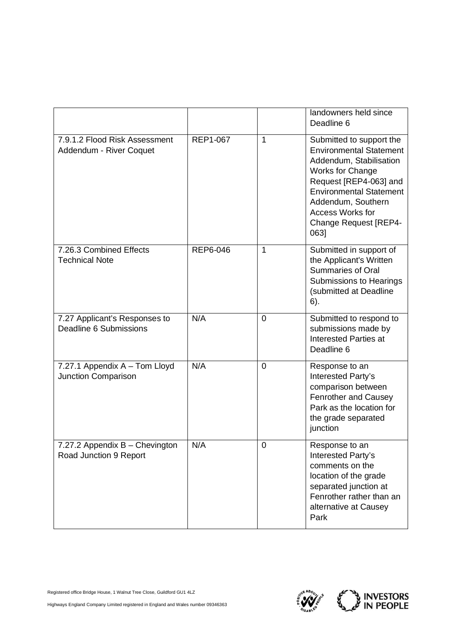|                                                          |                 |                | landowners held since<br>Deadline 6                                                                                                                                                                                                                            |
|----------------------------------------------------------|-----------------|----------------|----------------------------------------------------------------------------------------------------------------------------------------------------------------------------------------------------------------------------------------------------------------|
| 7.9.1.2 Flood Risk Assessment<br>Addendum - River Coquet | <b>REP1-067</b> | 1              | Submitted to support the<br><b>Environmental Statement</b><br>Addendum, Stabilisation<br>Works for Change<br>Request [REP4-063] and<br><b>Environmental Statement</b><br>Addendum, Southern<br><b>Access Works for</b><br><b>Change Request [REP4-</b><br>0631 |
| 7.26.3 Combined Effects<br><b>Technical Note</b>         | REP6-046        | 1              | Submitted in support of<br>the Applicant's Written<br>Summaries of Oral<br>Submissions to Hearings<br>(submitted at Deadline<br>6).                                                                                                                            |
| 7.27 Applicant's Responses to<br>Deadline 6 Submissions  | N/A             | $\overline{0}$ | Submitted to respond to<br>submissions made by<br><b>Interested Parties at</b><br>Deadline 6                                                                                                                                                                   |
| 7.27.1 Appendix A - Tom Lloyd<br>Junction Comparison     | N/A             | 0              | Response to an<br>Interested Party's<br>comparison between<br>Fenrother and Causey<br>Park as the location for<br>the grade separated<br>junction                                                                                                              |
| 7.27.2 Appendix B - Chevington<br>Road Junction 9 Report | N/A             | $\mathbf 0$    | Response to an<br>Interested Party's<br>comments on the<br>location of the grade<br>separated junction at<br>Fenrother rather than an<br>alternative at Causey<br>Park                                                                                         |